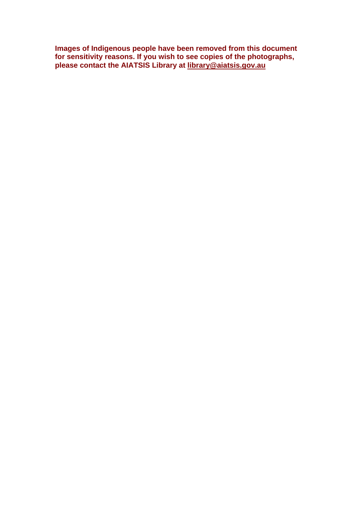| Images of Indigenous people have been removed from this document       |
|------------------------------------------------------------------------|
| for sensitivity reasons. If you wish to see copies of the photographs, |
| please contact the AIATSIS Library at library@aiatsis.gov.au           |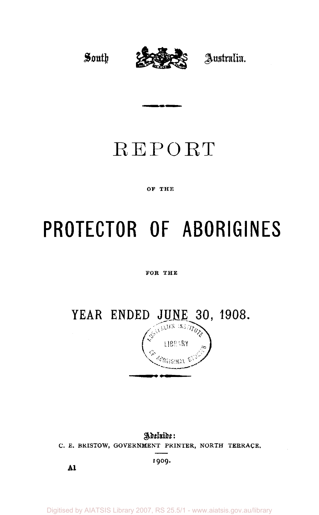South



Australia.

## REPORT

#### OF THE

# PROTECTOR OF ABORIGINES

#### FOR THE

YEAR ENDED JUNE 30, 1908.

Adeluide: C. E. BRISTOW, GOVERNMENT PRINTER, NORTH TERRACE,

1909.

 $\mathbf{A}$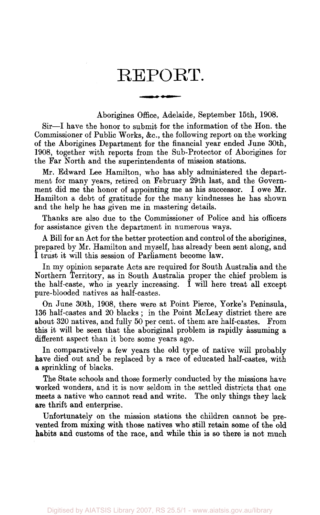### REPORT.

معدد منعب

Aborigines Office, Adelaide, September 15th, 1908.

Sir—I have the honor to submit for the information of the Hon. the Commissioner of Public Works, &c, the following report on the working of the Aborigines Department for the financial year ended June 30th, 1908, together with reports from the Sub-Protector of Aborigines for the Far North and the superintendents of mission stations.

Mr. Edward Lee Hamilton, who has ably administered the department for many years, retired on February 29th last, and the Government did me the honor of appointing me as his successor. I owe Mr. Hamilton a debt of gratitude for the many kindnesses he has shown and the help he has given me in mastering details.

Thanks are also due to the Commissioner of Police and his officers for assistance given the department in numerous ways.

A Bill for an Act for the better protection and control of the aborigines, prepared by Mr. Hamilton and myself, has already been sent along, and I trust it will this session of Parliament become law.

In my opinion separate Acts are required for South Australia and the Northern Territory, as in South Australia proper the chief problem is the half-caste, who is yearly increasing. I will here treat all except pure-blooded natives as half-castes.

On June 30th, 1908, there were at Point Pierce, Yorke's Peninsula, 136 half-castes and 20 blacks ; in the Point McLeay district there are about 320 natives, and fully 50 per cent, of them are half-castes. From this it will be seen that the aboriginal problem is rapidly assuming a different aspect than it bore some years ago.

In comparatively a few years the old type of native will probably have died out and be replaced by a race of educated half-castes, with a sprinkling of blacks.

The State schools and those formerly conducted by the missions have worked wonders, and it is now seldom in the settled districts that one meets a native who cannot read and write. The only things they lack are thrift and enterprise.

Unfortunately on the mission stations the children cannot be prevented from mixing with those natives who still retain some of the old habits and customs of the race, and while this is so there is not much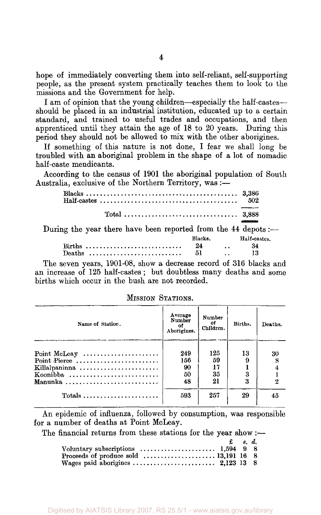hope of immediately converting them into self-reliant, self-supporting people, as the present system practically teaches them to look to the missions and the Government for help.

I am of opinion that the young children—especially the half-castesshould be placed in an industrial institution, educated up to a certain standard, and trained to useful trades and occupations, and then apprenticed until they attain the age of 18 to 20 years. During this period they should not be allowed to mix with the other aborigines.

If something of this nature is not done, I fear we shall long be troubled with an aboriginal problem in the shape of a lot of nomadic half-caste mendicants.

According to the census of 1901 the aboriginal population of South Australia, exclusive of the Northern Territory, was:—

|                                                                |         | 502           |
|----------------------------------------------------------------|---------|---------------|
|                                                                |         |               |
| During the year there have been reported from the 44 depots :- |         |               |
|                                                                | Blacks. | Haif-castes.  |
|                                                                | 24      | $\ldots$ $34$ |
| Deaths                                                         | - 51    | - 13          |

The seven years, 1901-08, show a decrease record of 316 blacks and an increase of 125 half-castes; but doubtless many deaths and some births which occur in the bush are not recorded.

| Name of Station.                                        | Average<br>Number<br>of<br>Aborigines. | Number<br>ot<br>Children. | Births. | Deaths. |
|---------------------------------------------------------|----------------------------------------|---------------------------|---------|---------|
|                                                         |                                        |                           |         |         |
| Point McLeay $\dots\dots\dots\dots\dots\dots\dots\dots$ | 249                                    | 125                       | 13      | 30      |
| Point Pierce                                            | 156                                    | 59                        |         |         |
| Killalpaninna                                           | 90                                     | 17                        |         |         |
| Koonibba                                                | 50                                     | 35                        |         |         |
| Manunka                                                 | 48                                     | 21                        | 3       |         |
| Totals $\ldots \ldots \ldots \ldots \ldots \ldots$      | 593                                    | 257                       | 29      | 45      |

MISSION STATIONS.

An epidemic of influenza, followed by consumption, was responsible for a number of deaths at Point McLeay.

The financial returns from these stations for the year show:—

|                                                                                      | $\mathbf{f}$ $s$ , $d$ . |  |
|--------------------------------------------------------------------------------------|--------------------------|--|
| Voluntary subscriptions $\ldots \ldots \ldots \ldots \ldots \ldots \ldots$ 1,594 9 8 |                          |  |
|                                                                                      |                          |  |
|                                                                                      |                          |  |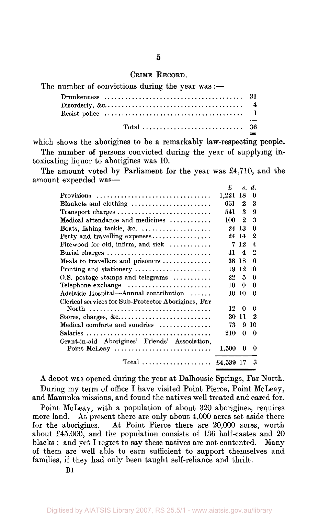#### CRIME RECORD.

| The number of convictions during the year was :—                                                                            |  |
|-----------------------------------------------------------------------------------------------------------------------------|--|
|                                                                                                                             |  |
| Disorderly, $\&c \dots \dots \dots \dots \dots \dots \dots \dots \dots \dots \dots \dots \dots \dots \dots \dots \dots$     |  |
| Resist police $\dots \dots \dots \dots \dots \dots \dots \dots \dots \dots \dots \dots \dots \dots \dots \dots \dots \dots$ |  |
|                                                                                                                             |  |

which shows the aborigines to be a remarkably law-respecting people. The number of persons convicted during the year of supplying intoxicating liquor to aborigines was 10.

The amount voted by Parliament for the year was £4,710, and the amount expended was—

|                                                                | £         |                     | s. d.            |
|----------------------------------------------------------------|-----------|---------------------|------------------|
| Provisions                                                     | 1,221     | 18                  | 0                |
| Blankets and clothing                                          | 651       | 2                   | 3                |
| Transport charges                                              | 541       | 3                   | 9                |
| Medical attendance and medicines                               | 100       | 2                   | 3                |
| Boats, fishing tackle, &c. $\ldots$                            | 24 13     |                     | 0                |
| Petty and travelling expenses                                  | 24 14     |                     | $\boldsymbol{2}$ |
| Firewood for old, infirm, and sick $\ldots$                    | 7         | 12                  | 4                |
| Burial charges                                                 | 41        | $\overline{\bf{4}}$ | 2                |
| Meals to travellers and prisoners $\dots\dots\dots\dots$       | 38 18     |                     | 6                |
| Printing and stationery                                        |           | 1912                | 10               |
| $0.8$ . postage stamps and telegrams                           | 22        | 5                   | 0                |
| $\text{Telephone exchange}$                                    | 10        | 0                   | $\Omega$         |
| Adelaide Hospital—Annual contribution                          | 10.       | -10                 | 0                |
| Clerical services for Sub-Protector Aborigines, Far            |           |                     |                  |
| North                                                          | 12        | o                   | 0                |
| Stores, charges, &c                                            | 30        | 11                  | 2                |
| Medical comforts and sundries                                  | 73        | 9                   | 10               |
| Salaries                                                       | 210       | 0                   | 0                |
| Grant-in-aid Aborigines' Friends' Association,<br>Point McLeay | $1{,}500$ | 0                   | 0                |
| Total  £4,539 17                                               |           |                     | 3                |

A depot was opened during the year at Dalhousie Springs, Far North. During my term of office I have visited Point Pierce, Point McLeay, and Manunka missions, and found the natives well treated and cared for.

Point McLeay, with a population of about 320 aborigines, requires more land. At present there are only about 4,000 acres set aside there for the aborigines. At Point Pierce there are 20,000 acres, worth about £45,000, and the population consists of 136 half-castes and 20 blacks ; and yet I regret to say these natives are not contented. Many of them are well able to earn sufficient to support themselves and families, if they had only been taught self-reliance and thrift.

Bl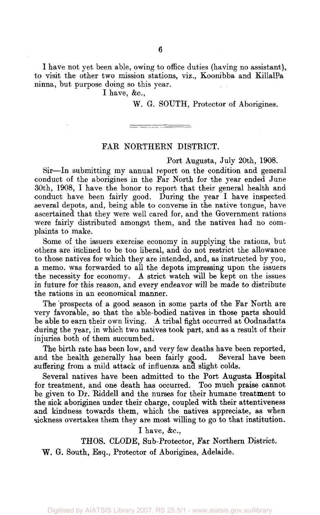I have not yet been able, owing to office duties (having no assistant), to visit the other two mission stations, viz., Koonibba and KillalPa ninna, but purpose doing so this year.

I have,  $&c.,$ 

W. G. SOUTH, Protector of Aborigines.

#### FAR NORTHERN DISTRICT.

Port Augusta, July 20th, 1908.

Sir—In submitting my annual report on the condition and general conduct of the aborigines in the Far North for the year ended June 30th, 1908, I have the honor to report that their general health and conduct have been fairly good. During the year I have inspected several depots, and, being able to converse in the native tongue, have ascertained that they were well cared for, and the Government rations were fairly distributed amongst them, and the natives had no complaints to make.

Some of the issuers exercise economy in supplying the rations, but others are inclined to be too liberal, and do not restrict the allowance to those natives for which they are intended, and, as instructed by you, a memo, was forwarded to all the depots impressing upon the issuers the necessity for economy. A strict watch will be kept on the issues in future for this reason, and every endeavor will be made to distribute the rations in an economical manner.

The prospects of a good season in some parts of the Far North are very favorable, so that the able-bodied natives in those parts should be able to earn their own living. A tribal fight occurred at Oodnadatta during the year, in which two natives took part, and as a result of their injuries both of them succumbed.

The birth rate has been low, and very few deaths have been reported, and the health generally has been fairly good. Several have been suffering from a mild attack of influenza and slight colds.

Several natives have been admitted to the Port Augusta Hospital for treatment, and one death has occurred. Too much praise cannot be given to Dr. Riddell and the nurses for their humane treatment to the sick aborigines under their charge, coupled with their attentiveness and kindness towards them, which the natives appreciate, as when sickness overtakes them they are most willing to go to that institution.

#### I have,  $\&c$ .

THOS. CLODE, Sub-Protector, Far Northern District.

W. G. South, Esq., Protector of Aborigines, Adelaide.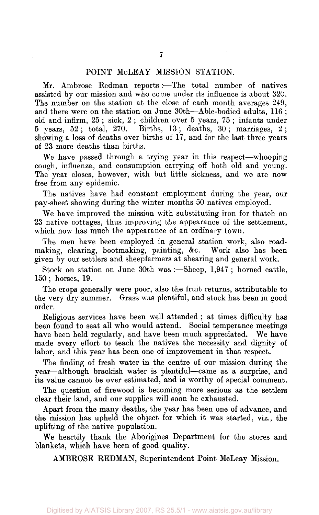#### POINT McLEAY MISSION STATION.

Mr. Ambrose Redman reports:—The total number of natives assisted by our mission and who come under its influence is about 320. The number on the station at the close of each month averages 249, and there were on the station on June 30th—Able-bodied adults, 116 ; old and infirm, 25 ; sick, 2 ; children over 5 years, 75 ; infants under 5 years, 52 ; total, 270. Births, 13 ; deaths, 30 ; marriages, 2 ; showing a loss of deaths over births of 17, and for the last three years of 23 more deaths than births.

We have passed through a trying year in this respect—whooping cough, influenza, and consumption carrying off both old and young. The year closes, however, with but little sickness, and we are now free from any epidemic.

The natives have had constant employment during the year, our pay-sheet showing during the winter months 50 natives employed.

We have improved the mission with substituting iron for thatch on 23 native cottages, thus improving the appearance of the settlement, which now has much the appearance of an ordinary town.

The men have been employed in general station work, also roadmaking, clearing, bootmaking, painting, &c. Work also has been given by our settlers and sheepfarmers at shearing and general work.

Stock on station on June 30th was :—Sheep, 1,947 ; horned cattle, 150; horses, 19.

The crops generally were poor, also the fruit returns, attributable to the very dry summer. Grass was plentiful, and stock has been in good order.

Religious services have been well attended; at times difficulty has been found to seat all who would attend. Social temperance meetings have been held regularly, and have been much appreciated. We have made every effort to teach the natives the necessity and dignity of labor, and this year has been one of improvement in that respect.

The finding of fresh water in the centre of our mission during the year—although brackish water is plentiful—came as a surprise, and its value cannot be over estimated, and is worthy of special comment.

The question of firewood is becoming more serious as the settlers clear their land, and our supplies will soon be exhausted.

Apart from the many deaths, the year has been one of advance, and the mission has upheld the object for which it was started, viz., the uplifting of the native population.

We heartily thank the Aborigines Department for the stores and blankets, which have been of good quality.

AMBROSE REDMAN, Superintendent Point McLeay Mission.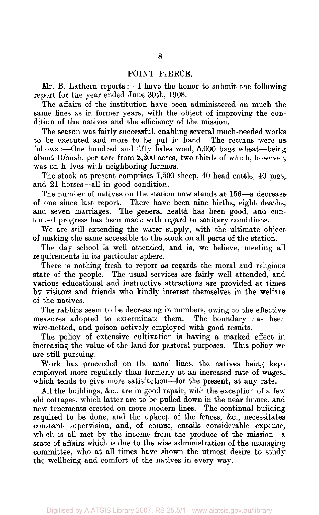#### POINT PIERCE.

Mr. B. Lathern reports :—I have the honor to submit the following report for the year ended June 30th, 1908.

The affairs of the institution have been administered on much the same lines as in former years, with the object of improving the condition of the natives and the efficiency of the mission.

The season was fairly successful, enabling several much-needed works to be executed and more to be put in hand. The returns were as follows :—One hundred and fifty bales wool, 5,000 bags wheat—being about 10bush. per acre from 2,200 acres, two-thirds of which, however, was on h Ives with neighboring farmers.

The stock at present comprises 7,500 sheep, 40 head cattle, 40 pigs, and 24 horses—all in good condition.

The number of natives on the station now stands at 156—a decrease of one since last report. There have been nine births, eight deaths, and seven marriages. The general health has been good, and continued progress has been made with regard to sanitary conditions.

We are still extending the water supply, with the ultimate object of making the same accessible to the stock on all parts of the station.

The day school is well attended, and is, we believe, meeting all requirements in its particular sphere.

There is nothing fresh to report as regards the moral and religious state of the people. The usual services are fairly well attended, and various educational and instructive attractions are provided at times by visitors and friends who kindly interest themselves in the welfare of the natives.

The rabbits seem to be decreasing in numbers, owing to the effective measures adopted to exterminate them. The boundary has been wire-netted, and poison actively employed with good results.

The policy of extensive cultivation is having a marked effect in increasing the value of the land for pastoral purposes. This policy we are still pursuing.

Work has proceeded on the usual lines, the natives being kept employed more regularly than formerly at an increased rate of wages, which tends to give more satisfaction—for the present, at any rate.

All the buildings, &c, are in good repair, with the exception of a few old cottages, which latter are to be pulled down in the near future, and new tenements erected on more modern lines. The continual building required to be done, and the upkeep of the fences, &c, necessitates constant supervision, and, of course, entails considerable expense, which is all met by the income from the produce of the mission—a state of affairs which is due to the wise administration of the managing committee, who at all times have shown the utmost desire to study the wellbeing and comfort of the natives in every way.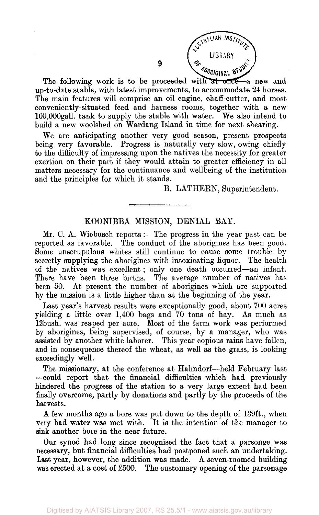

The following work is to be proceeded with at once-a new and up-to-date stable, with latest improvements, to accommodate 24 horses. The main features will comprise an oil engine, chaff-cutter, and most conveniently-situated feed and harness rooms, together with a new 100,000gall. tank to supply the stable with water. We also intend to build a new woolshed on Wardang Island in time for next shearing.

9

We are anticipating another very good season, present prospects being very favorable. Progress is naturally very slow, owing chiefly to the difficulty of impressing upon the natives the necessity for greater exertion on their part if they would attain to greater efficiency in all matters necessary for the continuance and wellbeing of the institution and the principles for which it stands.

B. LATHERN, Superintendent.

#### KOONIBBA MISSION, DENIAL BAY.

Mr. C. A. Wiebusch reports:—The progress in the year past can be reported as favorable. The conduct of the aborigines has been good. Some unscrupulous whites still continue to cause some trouble by secretly supplying the aborigines with intoxicating liquor. The health of the natives was excellent; only one death occurred—an infant. There have been three births. The average number of natives has been 50. At present the number of aborigines which are supported by the mission is a little higher than at the beginning of the year.

Last year's harvest results were exceptionally good, about 700 acres yielding a little over 1,400 bags and 70 tons of hay. As much as 12bush. was reaped per acre. Most of the farm work was performed by aborigines, being supervised, of course, by a manager, who was assisted by another white laborer. This year copious rains have fallen, and in consequence thereof the wheat, as well as the grass, is looking exceedingly well.

The missionary, at the conference at Hahndorf—held February last — could report that the financial difficulties which had previously hindered the progress of the station to a very large extent had been finally overcome, partly by donations and partly by the proceeds of the harvests.

A few months ago a bore was put down to the depth of 139ft., when very bad water was met with. It is the intention of the manager to sink another bore in the near future.

Our synod had long since recognised the fact that a parsonge was necessary, but financial difficulties had postponed such an undertaking. Last year, however, the addition was made. A seven-roomed building was erected at a cost of £500. The customary opening of the parsonage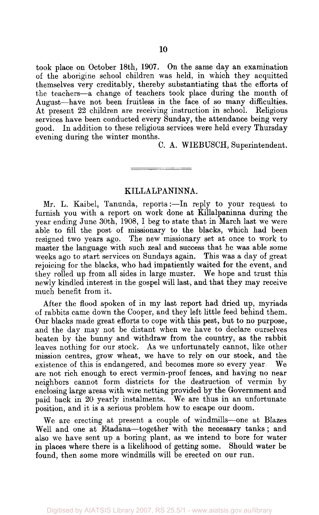took place on October 18th, 1907. On the same day an examination of the aborigine school children was held, in which they acquitted themselves very creditably, thereby substantiating that the efforts of the teachers—a change of teachers took place during the month of August—have not been fruitless in the face of so many difficulties. At present 22 children are receiving instruction in school. Religious services have been conducted every Sunday, the attendance being very good. In addition to these religious services were held every Thursday evening during the winter months.

C. A. WIEBUSCH, Superintendent.

#### KILLALPANINNA.

Mr. L. Kaibel, Tanunda, reports:—In reply to your request to furnish you with a report on work done at Rillalpaninna during the year ending June 30th, 1908, I beg to state that in March last we were able to fill the post of missionary to the blacks, which had been resigned two years ago. The new missionary set at once to work to master the language with such zeal and success that he was able some weeks ago to start services on Sundays again. This was a day of great rejoicing for the blacks, who had impatiently waited for the event, and they rolled up from all sides in large muster. We hope and trust this newly kindled interest in the gospel will last, and that they may receive much benefit from it.

After the flood spoken of in my last report had dried up, myriads of rabbits came down the Cooper, and they left little feed behind them. Our blacks made great efforts to cope with this pest, but to no purpose, and the day may not be distant when we have to declare ourselves beaten by the bunny and withdraw from the country, as the rabbit leaves nothing for our stock. As we unfortunately cannot, like other mission centres, grow wheat, we have to rely on our stock, and the existence of this is endangered, and becomes more so every year. We are not rich enough to erect vermin-proof fences, and having no near neighbors cannot form districts for the destruction of vermin by enclosing large areas with wire netting provided by the Government and paid back in 20 yearly instalments. We are thus in an unfortunate position, and it is a serious problem how to escape our doom.

We are erecting at present a couple of windmills—one at Blazes Well and one at Etadana—together with the necessary tanks; and also we have sent up a boring plant, as we intend to bore for water in places where there is a likelihood of getting some. Should water be found, then some more windmills will be erected on our run.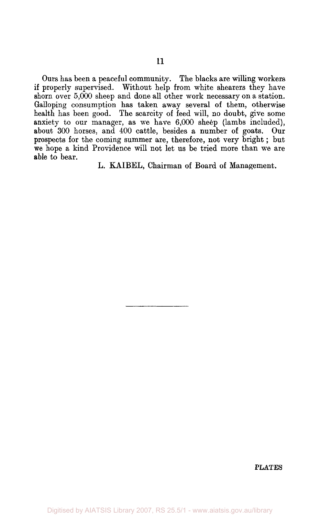Ours has been a peaceful community. The blacks are willing workers if properly supervised. Without help from white shearers they have shorn over 5,000 sheep and done all other work necessary on a station. Galloping consumption has taken away several of them, otherwise health has been good. The scarcity of feed will, no doubt, give some anxiety to our manager, as we have 6,000 sheep (lambs included), about 300 horses, and 400 cattle, besides a number of goats. Our prospects for the coming summer are, therefore, not very bright; but we hope a kind Providence will not let us be tried more than we are able to bear.

L. KAIBEL, Chairman of Board of Management.

**PLATES**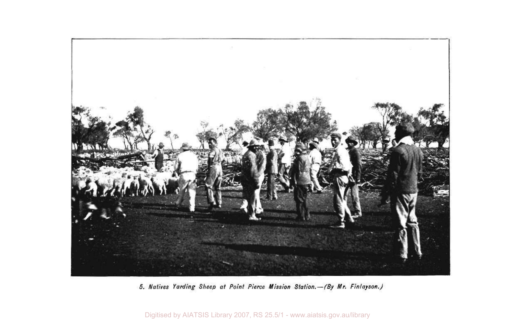

Natives Yarding

Digitised by AIATSIS Library 2007, RS 25.5/1 - www.aiatsis.gov.au/library